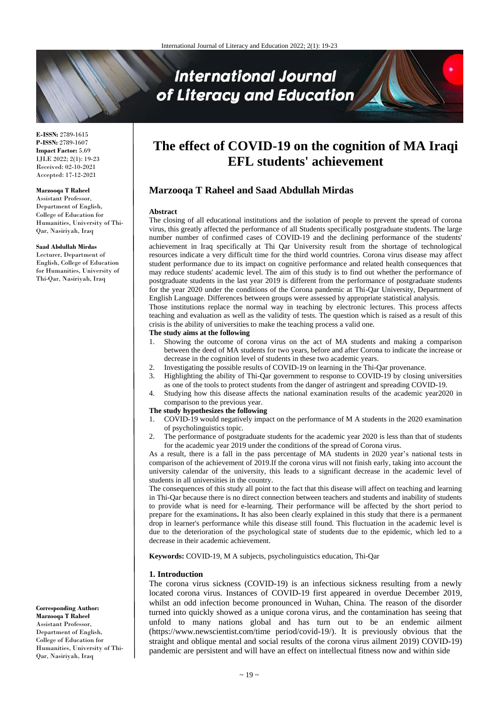# **International Journal** of Literacy and Education

**E-ISSN:** 2789-1615 **P-ISSN:** 2789-1607 **Impact Factor:** 5.69 IJLE 2022; 2(1): 19-23 Received: 02-10-2021 Accepted: 17-12-2021

## **Marzooqa T Raheel**

Assistant Professor, Department of English, College of Education for Humanities, University of Thi-Qar, Nasiriyah, Iraq

#### **Saad Abdullah Mirdas**

Lecturer, Department of English, College of Education for Humanities, University of Thi-Qar, Nasiriyah, Iraq

**The effect of COVID-19 on the cognition of MA Iraqi EFL students' achievement**

# **Marzooqa T Raheel and Saad Abdullah Mirdas**

#### **Abstract**

The closing of all educational institutions and the isolation of people to prevent the spread of corona virus, this greatly affected the performance of all Students specifically postgraduate students. The large number number of confirmed cases of COVID-19 and the declining performance of the students' achievement in Iraq specifically at Thi Qar University result from the shortage of technological resources indicate a very difficult time for the third world countries. Corona virus disease may affect student performance due to its impact on cognitive performance and related health consequences that may reduce students' academic level. The aim of this study is to find out whether the performance of postgraduate students in the last year 2019 is different from the performance of postgraduate students for the year 2020 under the conditions of the Corona pandemic at Thi-Qar University, Department of English Language. Differences between groups were assessed by appropriate statistical analysis.

Those institutions replace the normal way in teaching by electronic lectures. This process affects teaching and evaluation as well as the validity of tests. The question which is raised as a result of this crisis is the ability of universities to make the teaching process a valid one.

#### **The study aims at the following**

- 1. Showing the outcome of corona virus on the act of MA students and making a comparison between the deed of MA students for two years, before and after Corona to indicate the increase or decrease in the cognition level of students in these two academic years.
- 2. Investigating the possible results of COVID-19 on learning in the Thi-Qar provenance.
- 3. Highlighting the ability of Thi-Qar government to response to COVID-19 by closing universities as one of the tools to protect students from the danger of astringent and spreading COVID-19.
- 4. Studying how this disease affects the national examination results of the academic year2020 in comparison to the previous year.

#### **The study hypothesizes the following**

- 1. COVID-19 would negatively impact on the performance of M A students in the 2020 examination of psycholinguistics topic.
- 2. The performance of postgraduate students for the academic year 2020 is less than that of students for the academic year 2019 under the conditions of the spread of Corona virus.

As a result, there is a fall in the pass percentage of MA students in 2020 year's national tests in comparison of the achievement of 2019.If the corona virus will not finish early, taking into account the university calendar of the university, this leads to a significant decrease in the academic level of students in all universities in the country.

The consequences of this study all point to the fact that this disease will affect on teaching and learning in Thi-Qar because there is no direct connection between teachers and students and inability of students to provide what is need for e-learning. Their performance will be affected by the short period to prepare for the examinations**.** It has also been clearly explained in this study that there is a permanent drop in learner's performance while this disease still found. This fluctuation in the academic level is due to the deterioration of the psychological state of students due to the epidemic, which led to a decrease in their academic achievement.

**Keywords:** COVID-19, M A subjects, psycholinguistics education, Thi-Qar

#### **1. Introduction**

The corona virus sickness (COVID-19) is an infectious sickness resulting from a newly located corona virus. Instances of COVID-19 first appeared in overdue December 2019, whilst an odd infection become pronounced in Wuhan, China. The reason of the disorder turned into quickly showed as a unique corona virus, and the contamination has seeing that unfold to many nations global and has turn out to be an endemic ailment (https://www.newscientist.com/time period/covid-19/). It is previously obvious that the straight and oblique mental and social results of the corona virus ailment 2019) COVID-19) pandemic are persistent and will have an effect on intellectual fitness now and within side

**Corresponding Author: Marzooqa T Raheel** Assistant Professor, Department of English, College of Education for Humanities, University of Thi-Qar, Nasiriyah, Iraq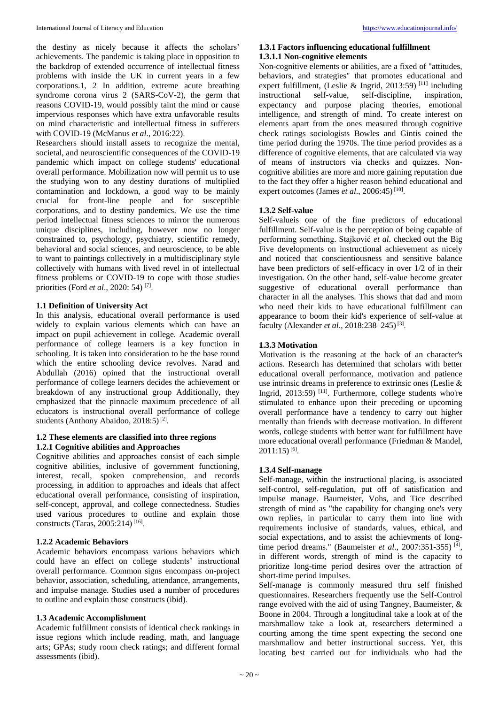the destiny as nicely because it affects the scholars' achievements. The pandemic is taking place in opposition to the backdrop of extended occurrence of intellectual fitness problems with inside the UK in current years in a few corporations.1, 2 In addition, extreme acute breathing syndrome corona virus 2 (SARS-CoV-2), the germ that reasons COVID-19, would possibly taint the mind or cause impervious responses which have extra unfavorable results on mind characteristic and intellectual fitness in sufferers with COVID-19 (McManus *et al*., 2016:22).

Researchers should install assets to recognize the mental, societal, and neuroscientific consequences of the COVID-19 pandemic which impact on college students' educational overall performance. Mobilization now will permit us to use the studying won to any destiny durations of multiplied contamination and lockdown, a good way to be mainly crucial for front-line people and for susceptible corporations, and to destiny pandemics. We use the time period intellectual fitness sciences to mirror the numerous unique disciplines, including, however now no longer constrained to, psychology, psychiatry, scientific remedy, behavioral and social sciences, and neuroscience, to be able to want to paintings collectively in a multidisciplinary style collectively with humans with lived revel in of intellectual fitness problems or COVID-19 to cope with those studies priorities (Ford *et al*., 2020: 54) [7] .

# **1.1 Definition of University Act**

In this analysis, educational overall performance is used widely to explain various elements which can have an impact on pupil achievement in college. Academic overall performance of college learners is a key function in schooling. It is taken into consideration to be the base round which the entire schooling device revolves. Narad and Abdullah (2016) opined that the instructional overall performance of college learners decides the achievement or breakdown of any instructional group Additionally, they emphasized that the pinnacle maximum precedence of all educators is instructional overall performance of college students (Anthony Abaidoo, 2018:5)<sup>[2]</sup>.

#### **1.2 These elements are classified into three regions 1.2.1 Cognitive abilities and Approaches**

Cognitive abilities and approaches consist of each simple cognitive abilities, inclusive of government functioning, interest, recall, spoken comprehension, and records processing, in addition to approaches and ideals that affect educational overall performance, consisting of inspiration, self-concept, approval, and college connectedness. Studies used various procedures to outline and explain those constructs (Taras, 2005:214) [16] .

## **1.2.2 Academic Behaviors**

Academic behaviors encompass various behaviors which could have an effect on college students' instructional overall performance. Common signs encompass on-project behavior, association, scheduling, attendance, arrangements, and impulse manage. Studies used a number of procedures to outline and explain those constructs (ibid).

# **1.3 Academic Accomplishment**

Academic fulfillment consists of identical check rankings in issue regions which include reading, math, and language arts; GPAs; study room check ratings; and different formal assessments (ibid).

#### **1.3.1 Factors influencing educational fulfillment 1.3.1.1 Non-cognitive elements**

Non-cognitive elements or abilities, are a fixed of "attitudes, behaviors, and strategies" that promotes educational and expert fulfillment, (Leslie & Ingrid, 2013:59)<sup>[11]</sup> including instructional self-value, self-discipline, inspiration, expectancy and purpose placing theories, emotional intelligence, and strength of mind. To create interest on elements apart from the ones measured through cognitive check ratings sociologists Bowles and Gintis coined the time period during the 1970s. The time period provides as a difference of cognitive elements, that are calculated via way of means of instructors via checks and quizzes. Noncognitive abilities are more and more gaining reputation due to the fact they offer a higher reason behind educational and expert outcomes (James *et al.*, 2006:45)<sup>[10]</sup>.

# **1.3.2 Self-value**

Self-valueis one of the fine predictors of educational fulfillment. Self-value is the perception of being capable of performing something. Stajković *et al*. checked out the Big Five developments on instructional achievement as nicely and noticed that conscientiousness and sensitive balance have been predictors of self-efficacy in over 1/2 of in their investigation. On the other hand, self-value become greater suggestive of educational overall performance than character in all the analyses. This shows that dad and mom who need their kids to have educational fulfillment can appearance to boom their kid's experience of self-value at faculty (Alexander *et al.*, 2018:238-245)<sup>[3]</sup>.

# **1.3.3 Motivation**

Motivation is the reasoning at the back of an character's actions. Research has determined that scholars with better educational overall performance, motivation and patience use intrinsic dreams in preference to extrinsic ones (Leslie & Ingrid, 2013:59)<sup>[11]</sup>. Furthermore, college students who're stimulated to enhance upon their preceding or upcoming overall performance have a tendency to carry out higher mentally than friends with decrease motivation. In different words, college students with better want for fulfillment have more educational overall performance (Friedman & Mandel,  $2011:15$ <sup>[6]</sup>.

## **1.3.4 Self-manage**

Self-manage, within the instructional placing, is associated self-control, self-regulation, put off of satisfication and impulse manage. Baumeister, Vohs, and Tice described strength of mind as "the capability for changing one's very own replies, in particular to carry them into line with requirements inclusive of standards, values, ethical, and social expectations, and to assist the achievments of longtime period dreams." (Baumeister *et al.*, 2007:351-355)<sup>[4]</sup>, in different words, strength of mind is the capacity to prioritize long-time period desires over the attraction of short-time period impulses.

Self-manage is commonly measured thru self finished questionnaires. Researchers frequently use the Self-Control range evolved with the aid of using Tangney, Baumeister, & Boone in 2004. Through a longitudinal take a look at of the marshmallow take a look at, researchers determined a courting among the time spent expecting the second one marshmallow and better instructional success. Yet, this locating best carried out for individuals who had the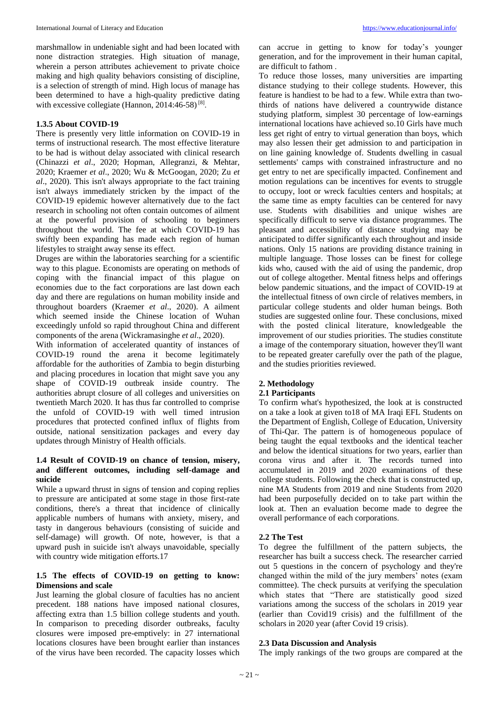marshmallow in undeniable sight and had been located with none distraction strategies. High situation of manage, wherein a person attributes achievement to private choice making and high quality behaviors consisting of discipline, is a selection of strength of mind. High locus of manage has been determined to have a high-quality predictive dating with excessive collegiate (Hannon, 2014:46-58)<sup>[8]</sup>.

#### **1.3.5 About COVID-19**

There is presently very little information on COVID-19 in terms of instructional research. The most effective literature to be had is without delay associated with clinical research (Chinazzi *et al*., 2020; Hopman, Allegranzi, & Mehtar, 2020; Kraemer *et al*., 2020; Wu & McGoogan, 2020; Zu *et al*., 2020). This isn't always appropriate to the fact training isn't always immediately stricken by the impact of the COVID-19 epidemic however alternatively due to the fact research in schooling not often contain outcomes of ailment at the powerful provision of schooling to beginners throughout the world. The fee at which COVID-19 has swiftly been expanding has made each region of human lifestyles to straight away sense its effect.

Druges are within the laboratories searching for a scientific way to this plague. Economists are operating on methods of coping with the financial impact of this plague on economies due to the fact corporations are last down each day and there are regulations on human mobility inside and throughout boarders (Kraemer *et al*., 2020). A ailment which seemed inside the Chinese location of Wuhan exceedingly unfold so rapid throughout China and different components of the arena (Wickramasinghe *et al*., 2020).

With information of accelerated quantity of instances of COVID-19 round the arena it become legitimately affordable for the authorities of Zambia to begin disturbing and placing procedures in location that might save you any shape of COVID-19 outbreak inside country. The authorities abrupt closure of all colleges and universities on twentieth March 2020. It has thus far controlled to comprise the unfold of COVID-19 with well timed intrusion procedures that protected confined influx of flights from outside, national sensitization packages and every day updates through Ministry of Health officials.

# **1.4 Result of COVID-19 on chance of tension, misery, and different outcomes, including self-damage and suicide**

While a upward thrust in signs of tension and coping replies to pressure are anticipated at some stage in those first-rate conditions, there's a threat that incidence of clinically applicable numbers of humans with anxiety, misery, and tasty in dangerous behaviours (consisting of suicide and self-damage) will growth. Of note, however, is that a upward push in suicide isn't always unavoidable, specially with country wide mitigation efforts.17

## **1.5 The effects of COVID-19 on getting to know: Dimensions and scale**

Just learning the global closure of faculties has no ancient precedent. 188 nations have imposed national closures, affecting extra than 1.5 billion college students and youth. In comparison to preceding disorder outbreaks, faculty closures were imposed pre-emptively: in 27 international locations closures have been brought earlier than instances of the virus have been recorded. The capacity losses which

can accrue in getting to know for today's younger generation, and for the improvement in their human capital, are difficult to fathom .

To reduce those losses, many universities are imparting distance studying to their college students. However, this feature is handiest to be had to a few. While extra than twothirds of nations have delivered a countrywide distance studying platform, simplest 30 percentage of low-earnings international locations have achieved so.10 Girls have much less get right of entry to virtual generation than boys, which may also lessen their get admission to and participation in on line gaining knowledge of. Students dwelling in casual settlements' camps with constrained infrastructure and no get entry to net are specifically impacted. Confinement and motion regulations can be incentives for events to struggle to occupy, loot or wreck faculties centers and hospitals; at the same time as empty faculties can be centered for navy use. Students with disabilities and unique wishes are specifically difficult to serve via distance programmes. The pleasant and accessibility of distance studying may be anticipated to differ significantly each throughout and inside nations. Only 15 nations are providing distance training in multiple language. Those losses can be finest for college kids who, caused with the aid of using the pandemic, drop out of college altogether. Mental fitness helps and offerings below pandemic situations, and the impact of COVID-19 at the intellectual fitness of own circle of relatives members, in particular college students and older human beings. Both studies are suggested online four. These conclusions, mixed with the posted clinical literature, knowledgeable the improvement of our studies priorities. The studies constitute a image of the contemporary situation, however they'll want to be repeated greater carefully over the path of the plague, and the studies priorities reviewed.

# **2. Methodology**

#### **2.1 Participants**

To confirm what's hypothesized, the look at is constructed on a take a look at given to18 of MA Iraqi EFL Students on the Department of English, College of Education, University of Thi-Qar. The pattern is of homogeneous populace of being taught the equal textbooks and the identical teacher and below the identical situations for two years, earlier than corona virus and after it. The records turned into accumulated in 2019 and 2020 examinations of these college students. Following the check that is constructed up, nine MA Students from 2019 and nine Students from 2020 had been purposefully decided on to take part within the look at. Then an evaluation become made to degree the overall performance of each corporations.

## **2.2 The Test**

To degree the fulfillment of the pattern subjects, the researcher has built a success check. The researcher carried out 5 questions in the concern of psychology and they're changed within the mild of the jury members' notes (exam committee). The check pursuits at verifying the speculation which states that "There are statistically good sized variations among the success of the scholars in 2019 year (earlier than Covid19 crisis) and the fulfillment of the scholars in 2020 year (after Covid 19 crisis).

#### **2.3 Data Discussion and Analysis**

The imply rankings of the two groups are compared at the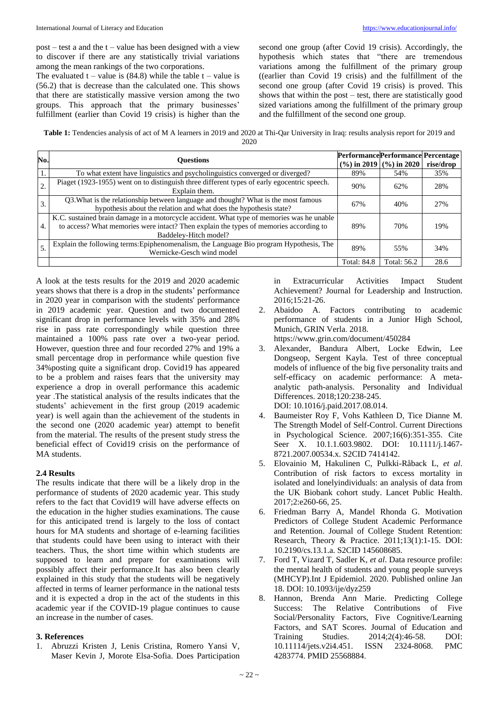$post - test$  a and the  $t - value$  has been designed with a view to discover if there are any statistically trivial variations among the mean rankings of the two corporations.

The evaluated  $t - value$  is (84.8) while the table  $t - value$  is (56.2) that is decrease than the calculated one. This shows that there are statistically massive version among the two groups. This approach that the primary businesses' fulfillment (earlier than Covid 19 crisis) is higher than the

second one group (after Covid 19 crisis). Accordingly, the hypothesis which states that "there are tremendous variations among the fulfillment of the primary group ((earlier than Covid 19 crisis) and the fulfillment of the second one group (after Covid 19 crisis) is proved. This shows that within the post – test, there are statistically good sized variations among the fulfillment of the primary group and the fulfillment of the second one group.

**Table 1:** Tendencies analysis of act of M A learners in 2019 and 2020 at Thi-Qar University in Iraq: results analysis report for 2019 and 2020

| No. | <b>Ouestions</b>                                                                                                                                                                                            | PerformancePerformancePercentage | $(%)$ in 2019 $(%)$ in 2020 | rise/drop |
|-----|-------------------------------------------------------------------------------------------------------------------------------------------------------------------------------------------------------------|----------------------------------|-----------------------------|-----------|
|     | To what extent have linguistics and psycholinguistics converged or diverged?                                                                                                                                | 89%                              | 54%                         | 35%       |
| 2.  | Piaget (1923-1955) went on to distinguish three different types of early egocentric speech.<br>Explain them.                                                                                                | 90%                              | 62%                         | 28%       |
| 3.  | Q3. What is the relationship between language and thought? What is the most famous<br>hypothesis about the relation and what does the hypothesis state?                                                     | 67%                              | 40%                         | 27%       |
| 4.  | K.C. sustained brain damage in a motorcycle accident. What type of memories was he unable<br>to access? What memories were intact? Then explain the types of memories according to<br>Baddeley-Hitch model? | 89%                              | 70%                         | 19%       |
|     | Explain the following terms: Epiphenomenalism, the Language Bio program Hypothesis, The<br>Wernicke-Gesch wind model                                                                                        | 89%                              | 55%                         | 34%       |
|     |                                                                                                                                                                                                             | <b>Total: 84.8</b>               | Total: 56.2                 | 28.6      |

A look at the tests results for the 2019 and 2020 academic years shows that there is a drop in the students' performance in 2020 year in comparison with the students' performance in 2019 academic year. Question and two documented significant drop in performance levels with 35% and 28% rise in pass rate correspondingly while question three maintained a 100% pass rate over a two-year period. However, question three and four recorded 27% and 19% a small percentage drop in performance while question five 34%posting quite a significant drop. Covid19 has appeared to be a problem and raises fears that the university may experience a drop in overall performance this academic year .The statistical analysis of the results indicates that the students' achievement in the first group (2019 academic year) is well again than the achievement of the students in the second one (2020 academic year) attempt to benefit from the material. The results of the present study stress the beneficial effect of Covid19 crisis on the performance of MA students.

#### **2.4 Results**

The results indicate that there will be a likely drop in the performance of students of 2020 academic year. This study refers to the fact that Covid19 will have adverse effects on the education in the higher studies examinations. The cause for this anticipated trend is largely to the loss of contact hours for MA students and shortage of e-learning facilities that students could have been using to interact with their teachers. Thus, the short time within which students are supposed to learn and prepare for examinations will possibly affect their performance.It has also been clearly explained in this study that the students will be negatively affected in terms of learner performance in the national tests and it is expected a drop in the act of the students in this academic year if the COVID-19 plague continues to cause an increase in the number of cases.

#### **3. References**

1. Abruzzi Kristen J, Lenis Cristina, Romero Yansi V, Maser Kevin J, Morote Elsa-Sofia. Does Participation in Extracurricular Activities Impact Student Achievement? Journal for Leadership and Instruction. 2016;15:21-26.

2. Abaidoo A. Factors contributing to academic performance of students in a Junior High School, Munich, GRIN Verla. 2018.

https://www.grin.com/document/450284

- 3. Alexander, Bandura Albert, Locke Edwin, Lee Dongseop, Sergent Kayla. Test of three conceptual models of influence of the big five personality traits and self-efficacy on academic performance: A metaanalytic path-analysis. Personality and Individual Differences. 2018;120:238-245. DOI: 10.1016/j.paid.2017.08.014.
- 4. Baumeister Roy F, Vohs Kathleen D, Tice Dianne M. The Strength Model of Self-Control. Current Directions in Psychological Science. 2007;16(6):351-355. Cite Seer X. 10.1.1.603.9802. DOI: 10.1111/j.1467-8721.2007.00534.x. S2CID 7414142.
- 5. Elovainio M, Hakulinen C, Pulkki-Råback L, *et al*. Contribution of risk factors to excess mortality in isolated and lonelyindividuals: an analysis of data from the UK Biobank cohort study. Lancet Public Health. 2017;2:e260-66, 25.
- 6. Friedman Barry A, Mandel Rhonda G. Motivation Predictors of College Student Academic Performance and Retention. Journal of College Student Retention: Research, Theory & Practice. 2011;13(1):1-15. DOI: 10.2190/cs.13.1.a. S2CID 145608685.
- 7. Ford T, Vizard T, Sadler K, *et al*. Data resource profile: the mental health of students and young people surveys (MHCYP).Int J Epidemiol. 2020. Published online Jan 18. DOI: 10.1093/ije/dyz259
- 8. Hannon, Brenda Ann Marie. Predicting College Success: The Relative Contributions of Five Social/Personality Factors, Five Cognitive/Learning Factors, and SAT Scores. Journal of Education and Training Studies. 2014;2(4):46-58. DOI: 10.11114/jets.v2i4.451. ISSN 2324-8068. PMC 4283774. PMID 25568884.